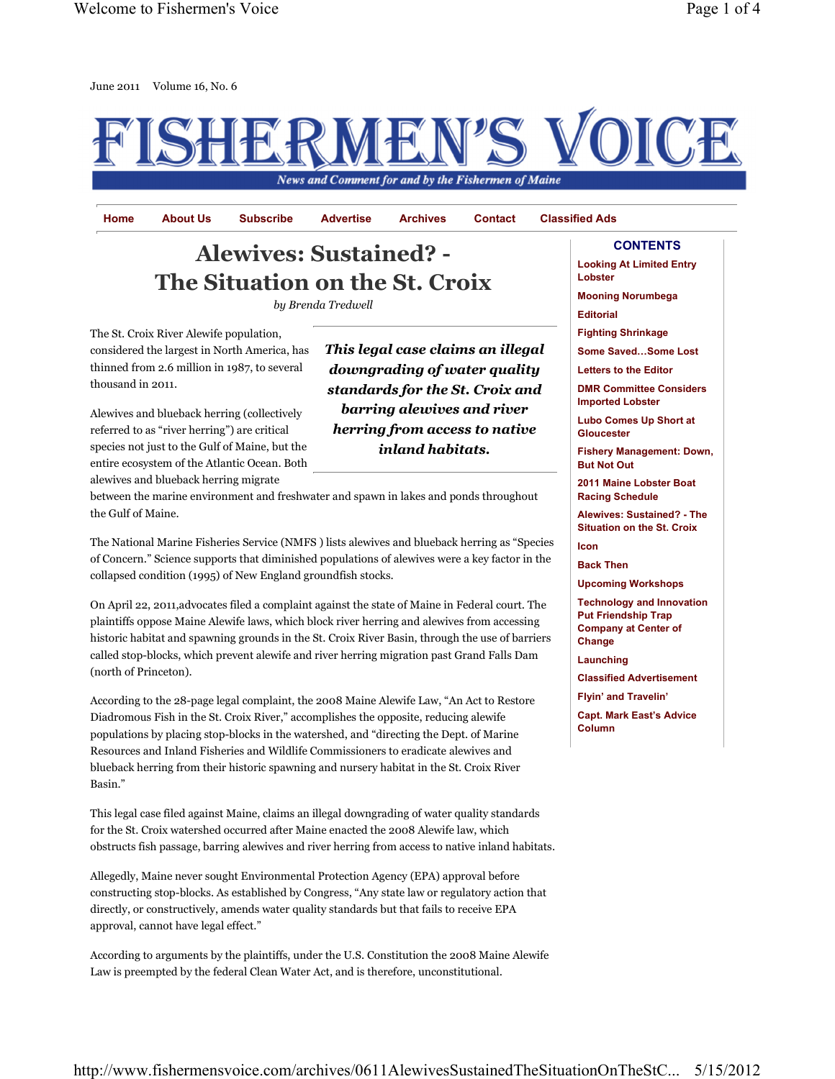

Home About Us Subscribe Advertise Archives Contact Classified Ads

This legal case claims an illegal downgrading of water quality standards for the St. Croix and barring alewives and river herring from access to native inland habitats.

## **CONTENTS**

## Alewives: Sustained? - The Situation on the St. Croix

by Brenda Tredwell

The St. Croix River Alewife population, considered the largest in North America, has thinned from 2.6 million in 1987, to several thousand in 2011.

Alewives and blueback herring (collectively referred to as "river herring") are critical species not just to the Gulf of Maine, but the entire ecosystem of the Atlantic Ocean. Both alewives and blueback herring migrate

between the marine environment and freshwater and spawn in lakes and ponds throughout the Gulf of Maine.

The National Marine Fisheries Service (NMFS ) lists alewives and blueback herring as "Species of Concern." Science supports that diminished populations of alewives were a key factor in the collapsed condition (1995) of New England groundfish stocks.

On April 22, 2011,advocates filed a complaint against the state of Maine in Federal court. The plaintiffs oppose Maine Alewife laws, which block river herring and alewives from accessing historic habitat and spawning grounds in the St. Croix River Basin, through the use of barriers called stop-blocks, which prevent alewife and river herring migration past Grand Falls Dam (north of Princeton).

According to the 28-page legal complaint, the 2008 Maine Alewife Law, "An Act to Restore Diadromous Fish in the St. Croix River," accomplishes the opposite, reducing alewife populations by placing stop-blocks in the watershed, and "directing the Dept. of Marine Resources and Inland Fisheries and Wildlife Commissioners to eradicate alewives and blueback herring from their historic spawning and nursery habitat in the St. Croix River Basin."

This legal case filed against Maine, claims an illegal downgrading of water quality standards for the St. Croix watershed occurred after Maine enacted the 2008 Alewife law, which obstructs fish passage, barring alewives and river herring from access to native inland habitats.

Allegedly, Maine never sought Environmental Protection Agency (EPA) approval before constructing stop-blocks. As established by Congress, "Any state law or regulatory action that directly, or constructively, amends water quality standards but that fails to receive EPA approval, cannot have legal effect."

According to arguments by the plaintiffs, under the U.S. Constitution the 2008 Maine Alewife Law is preempted by the federal Clean Water Act, and is therefore, unconstitutional.

Looking At Limited Entry Lobster

Mooning Norumbega

Editorial

Fighting Shrinkage

Some Saved…Some Lost

Letters to the Editor

DMR Committee Considers Imported Lobster

Lubo Comes Up Short at **Gloucester** 

Fishery Management: Down, But Not Out

2011 Maine Lobster Boat Racing Schedule

Alewives: Sustained? - The Situation on the St. Croix

Icon

Back Then

Upcoming Workshops

Technology and Innovation Put Friendship Trap Company at Center of **Change** 

Launching

Classified Advertisement

Flyin' and Travelin'

Capt. Mark East's Advice Column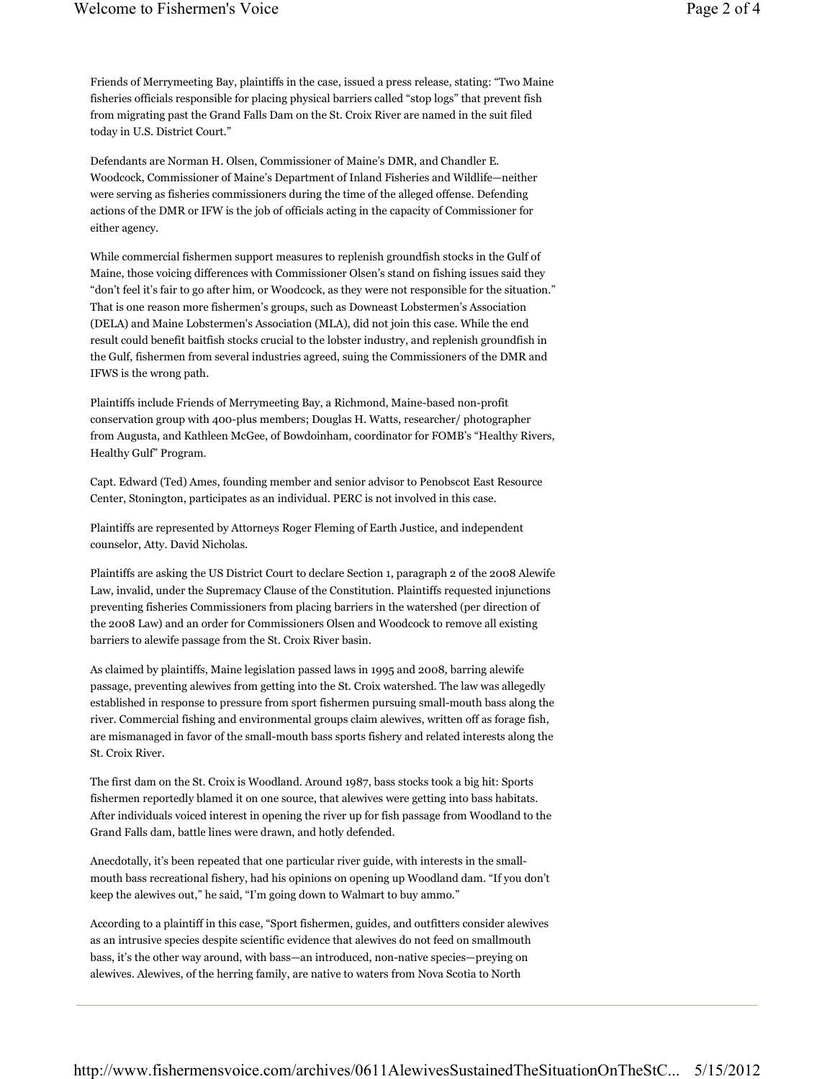Friends of Merrymeeting Bay, plaintiffs in the case, issued a press release, stating: "Two Maine fisheries officials responsible for placing physical barriers called "stop logs" that prevent fish from migrating past the Grand Falls Dam on the St. Croix River are named in the suit filed today in U.S. District Court."

Defendants are Norman H. Olsen, Commissioner of Maine's DMR, and Chandler E. Woodcock, Commissioner of Maine's Department of Inland Fisheries and Wildlife—neither were serving as fisheries commissioners during the time of the alleged offense. Defending actions of the DMR or IFW is the job of officials acting in the capacity of Commissioner for either agency.

While commercial fishermen support measures to replenish groundfish stocks in the Gulf of Maine, those voicing differences with Commissioner Olsen's stand on fishing issues said they "don't feel it's fair to go after him, or Woodcock, as they were not responsible for the situation." That is one reason more fishermen's groups, such as Downeast Lobstermen's Association (DELA) and Maine Lobstermen's Association (MLA), did not join this case. While the end result could benefit baitfish stocks crucial to the lobster industry, and replenish groundfish in the Gulf, fishermen from several industries agreed, suing the Commissioners of the DMR and IFWS is the wrong path.

Plaintiffs include Friends of Merrymeeting Bay, a Richmond, Maine-based non-profit conservation group with 400-plus members; Douglas H. Watts, researcher/ photographer from Augusta, and Kathleen McGee, of Bowdoinham, coordinator for FOMB's "Healthy Rivers, Healthy Gulf" Program.

Capt. Edward (Ted) Ames, founding member and senior advisor to Penobscot East Resource Center, Stonington, participates as an individual. PERC is not involved in this case.

Plaintiffs are represented by Attorneys Roger Fleming of Earth Justice, and independent counselor, Atty. David Nicholas.

Plaintiffs are asking the US District Court to declare Section 1, paragraph 2 of the 2008 Alewife Law, invalid, under the Supremacy Clause of the Constitution. Plaintiffs requested injunctions preventing fisheries Commissioners from placing barriers in the watershed (per direction of the 2008 Law) and an order for Commissioners Olsen and Woodcock to remove all existing barriers to alewife passage from the St. Croix River basin.

As claimed by plaintiffs, Maine legislation passed laws in 1995 and 2008, barring alewife passage, preventing alewives from getting into the St. Croix watershed. The law was allegedly established in response to pressure from sport fishermen pursuing small-mouth bass along the river. Commercial fishing and environmental groups claim alewives, written off as forage fish, are mismanaged in favor of the small-mouth bass sports fishery and related interests along the St. Croix River.

The first dam on the St. Croix is Woodland. Around 1987, bass stocks took a big hit: Sports fishermen reportedly blamed it on one source, that alewives were getting into bass habitats. After individuals voiced interest in opening the river up for fish passage from Woodland to the Grand Falls dam, battle lines were drawn, and hotly defended.

Anecdotally, it's been repeated that one particular river guide, with interests in the smallmouth bass recreational fishery, had his opinions on opening up Woodland dam. "If you don't keep the alewives out," he said, "I'm going down to Walmart to buy ammo."

According to a plaintiff in this case, "Sport fishermen, guides, and outfitters consider alewives as an intrusive species despite scientific evidence that alewives do not feed on smallmouth bass, it's the other way around, with bass—an introduced, non-native species—preying on alewives. Alewives, of the herring family, are native to waters from Nova Scotia to North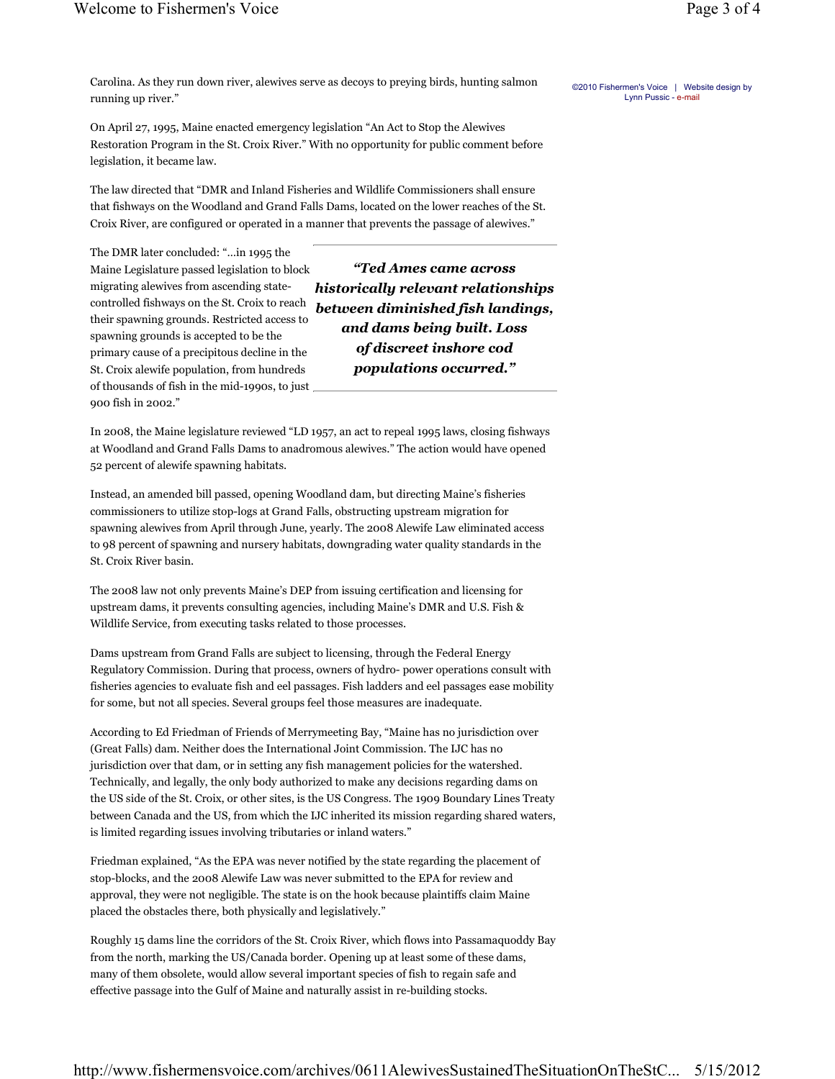Carolina. As they run down river, alewives serve as decoys to preying birds, hunting salmon running up river."

On April 27, 1995, Maine enacted emergency legislation "An Act to Stop the Alewives Restoration Program in the St. Croix River." With no opportunity for public comment before legislation, it became law.

The law directed that "DMR and Inland Fisheries and Wildlife Commissioners shall ensure that fishways on the Woodland and Grand Falls Dams, located on the lower reaches of the St. Croix River, are configured or operated in a manner that prevents the passage of alewives."

The DMR later concluded: "…in 1995 the Maine Legislature passed legislation to block migrating alewives from ascending statecontrolled fishways on the St. Croix to reach their spawning grounds. Restricted access to spawning grounds is accepted to be the primary cause of a precipitous decline in the St. Croix alewife population, from hundreds of thousands of fish in the mid-1990s, to just 900 fish in 2002."

"Ted Ames came across historically relevant relationships between diminished fish landings, and dams being built. Loss of discreet inshore cod populations occurred."

In 2008, the Maine legislature reviewed "LD 1957, an act to repeal 1995 laws, closing fishways at Woodland and Grand Falls Dams to anadromous alewives." The action would have opened 52 percent of alewife spawning habitats.

Instead, an amended bill passed, opening Woodland dam, but directing Maine's fisheries commissioners to utilize stop-logs at Grand Falls, obstructing upstream migration for spawning alewives from April through June, yearly. The 2008 Alewife Law eliminated access to 98 percent of spawning and nursery habitats, downgrading water quality standards in the St. Croix River basin.

The 2008 law not only prevents Maine's DEP from issuing certification and licensing for upstream dams, it prevents consulting agencies, including Maine's DMR and U.S. Fish & Wildlife Service, from executing tasks related to those processes.

Dams upstream from Grand Falls are subject to licensing, through the Federal Energy Regulatory Commission. During that process, owners of hydro- power operations consult with fisheries agencies to evaluate fish and eel passages. Fish ladders and eel passages ease mobility for some, but not all species. Several groups feel those measures are inadequate.

According to Ed Friedman of Friends of Merrymeeting Bay, "Maine has no jurisdiction over (Great Falls) dam. Neither does the International Joint Commission. The IJC has no jurisdiction over that dam, or in setting any fish management policies for the watershed. Technically, and legally, the only body authorized to make any decisions regarding dams on the US side of the St. Croix, or other sites, is the US Congress. The 1909 Boundary Lines Treaty between Canada and the US, from which the IJC inherited its mission regarding shared waters, is limited regarding issues involving tributaries or inland waters."

Friedman explained, "As the EPA was never notified by the state regarding the placement of stop-blocks, and the 2008 Alewife Law was never submitted to the EPA for review and approval, they were not negligible. The state is on the hook because plaintiffs claim Maine placed the obstacles there, both physically and legislatively."

Roughly 15 dams line the corridors of the St. Croix River, which flows into Passamaquoddy Bay from the north, marking the US/Canada border. Opening up at least some of these dams, many of them obsolete, would allow several important species of fish to regain safe and effective passage into the Gulf of Maine and naturally assist in re-building stocks.